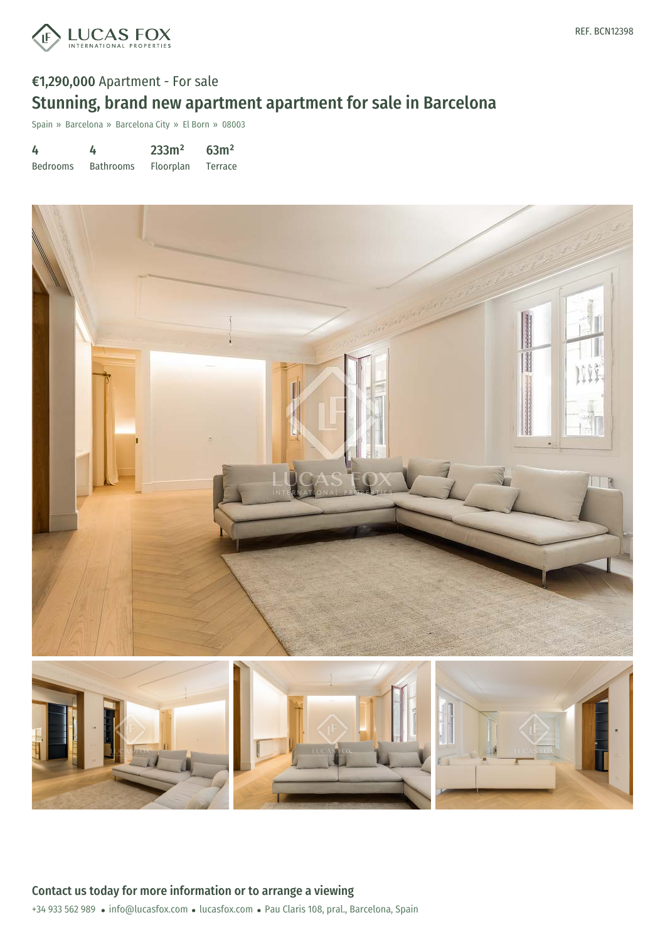

# €1,290,000 Apartment - For sale Stunning, brand new apartment apartment for sale in Barcelona

Spain » Barcelona » Barcelona City » El Born » 08003

| 4               | 4                | 233m <sup>2</sup> | 63m <sup>2</sup> |
|-----------------|------------------|-------------------|------------------|
| <b>Bedrooms</b> | <b>Bathrooms</b> | <b>Floorplan</b>  | Terrace          |

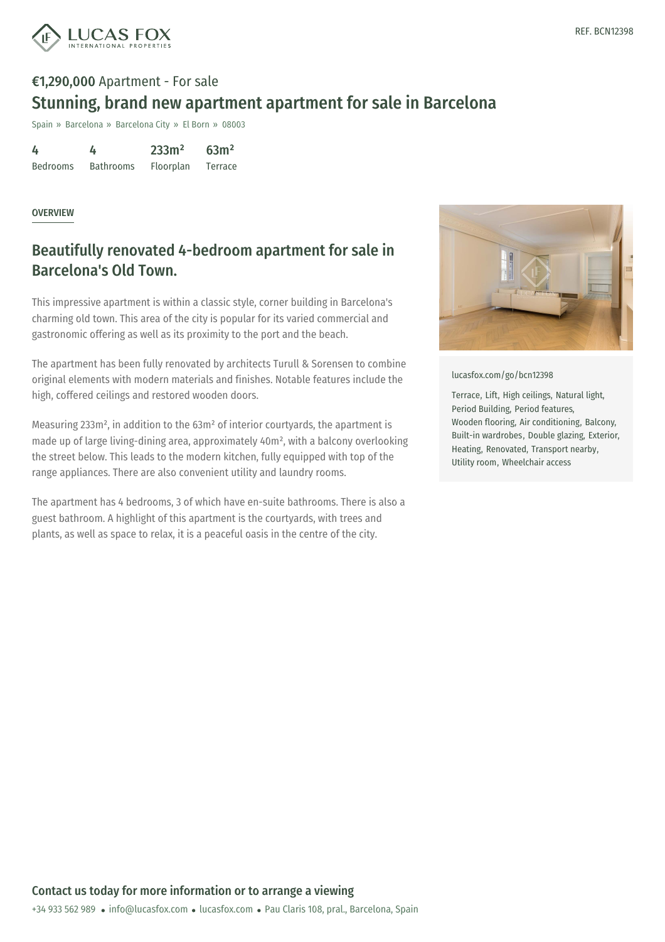

# €1,290,000 Apartment - For sale Stunning, brand new apartment apartment for sale in Barcelona

Spain » Barcelona » Barcelona City » El Born » 08003

4 Bedrooms 4 Bathrooms 233m² Floorplan 63m² Terrace

#### OVERVIEW

### Beautifully renovated 4-bedroom apartment for sale in Barcelona's Old Town.

This impressive apartment is within a classic style, corner building in Barcelona's charming old town. This area of the city is popular for its varied commercial and gastronomic offering as well as its proximity to the port and the beach.

The apartment has been fully renovated by architects Turull & Sorensen to combine original elements with modern materials and finishes. Notable features include the high, coffered ceilings and restored wooden doors.

Measuring 233m², in addition to the 63m² of interior courtyards, the apartment is made up of large living-dining area, approximately 40m², with a balcony overlooking the street below. This leads to the modern kitchen, fully equipped with top of the range appliances. There are also convenient utility and laundry rooms.

The apartment has 4 bedrooms, 3 of which have en-suite bathrooms. There is also a guest bathroom. A highlight of this apartment is the courtyards, with trees and plants, as well as space to relax, it is a peaceful oasis in the centre of the city.



[lucasfox.com/go/bcn12398](https://www.lucasfox.com/go/bcn12398)

Terrace, Lift, High ceilings, Natural light, Period Building, Period features, Wooden flooring, Air conditioning, Balcony, Built-in wardrobes, Double glazing, Exterior, Heating, Renovated, Transport nearby, Utility room, Wheelchair access